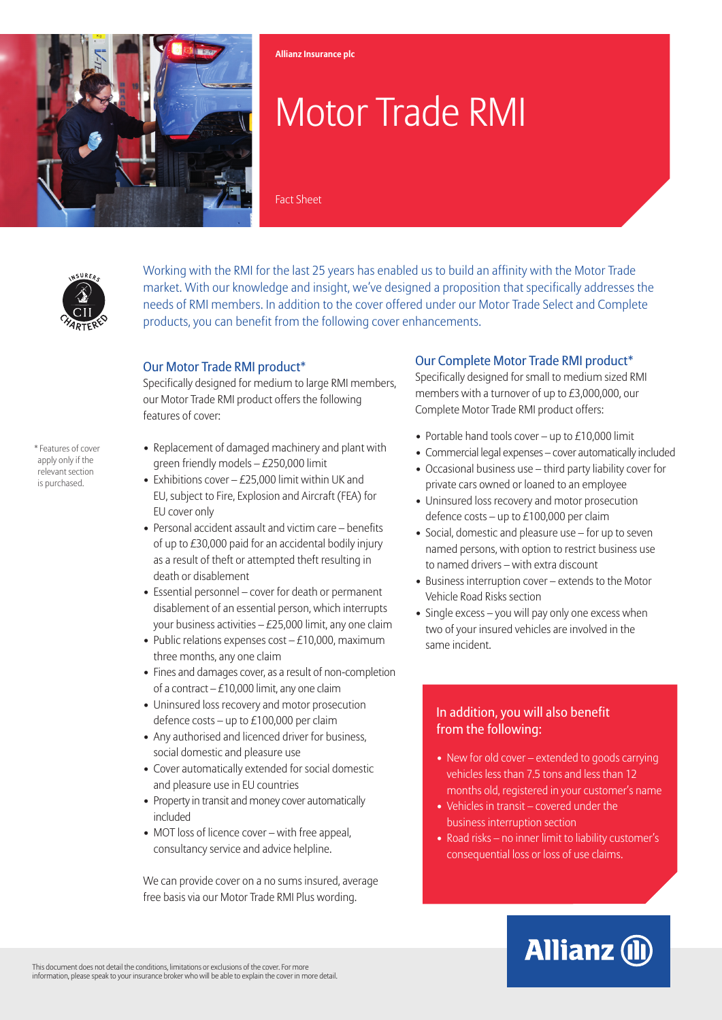

# Motor Trade RMI

Fact Sheet

**Allianz Insurance plc**



Working with the RMI for the last 25 years has enabled us to build an affinity with the Motor Trade market. With our knowledge and insight, we've designed a proposition that specifically addresses the needs of RMI members. In addition to the cover offered under our Motor Trade Select and Complete products, you can benefit from the following cover enhancements.

#### Our Motor Trade RMI product\*

Specifically designed for medium to large RMI members, our Motor Trade RMI product offers the following features of cover:

\* Features of cover apply only if the relevant section is purchased.

- Replacement of damaged machinery and plant with green friendly models – £250,000 limit
- Exhibitions cover  $-E25,000$  limit within UK and EU, subject to Fire, Explosion and Aircraft (FEA) for EU cover only
- Personal accident assault and victim care benefits of up to £30,000 paid for an accidental bodily injury as a result of theft or attempted theft resulting in death or disablement
- Essential personnel cover for death or permanent disablement of an essential person, which interrupts your business activities – £25,000 limit, any one claim
- Public relations expenses cost  $-E10,000$ , maximum three months, any one claim
- Fines and damages cover, as a result of non-completion of a contract  $-£10,000$  limit, any one claim
- Uninsured loss recovery and motor prosecution defence costs – up to £100,000 per claim
- Any authorised and licenced driver for business, social domestic and pleasure use
- Cover automatically extended for social domestic and pleasure use in EU countries
- Property in transit and money cover automatically included
- MOT loss of licence cover with free appeal, consultancy service and advice helpline.

We can provide cover on a no sums insured, average free basis via our Motor Trade RMI Plus wording.

### Our Complete Motor Trade RMI product\*

Specifically designed for small to medium sized RMI members with a turnover of up to £3,000,000, our Complete Motor Trade RMI product offers:

- Portable hand tools cover up to  $£10,000$  limit
- Commercial legal expenses cover automatically included
- Occasional business use third party liability cover for private cars owned or loaned to an employee
- Uninsured loss recovery and motor prosecution defence costs – up to £100,000 per claim
- Social, domestic and pleasure use for up to seven named persons, with option to restrict business use to named drivers – with extra discount
- Business interruption cover extends to the Motor Vehicle Road Risks section
- Single excess you will pay only one excess when two of your insured vehicles are involved in the same incident.

## In addition, you will also benefit from the following:

- New for old cover extended to goods carrying vehicles less than 7.5 tons and less than 12 months old, registered in your customer's name
- Vehicles in transit covered under the business interruption section
- Road risks no inner limit to liability customer's consequential loss or loss of use claims.

# **Allianz (II)**

This document does not detail the conditions, limitations or exclusions of the cover. For more information, please speak to your insurance broker who will be able to explain the cover in more detail.